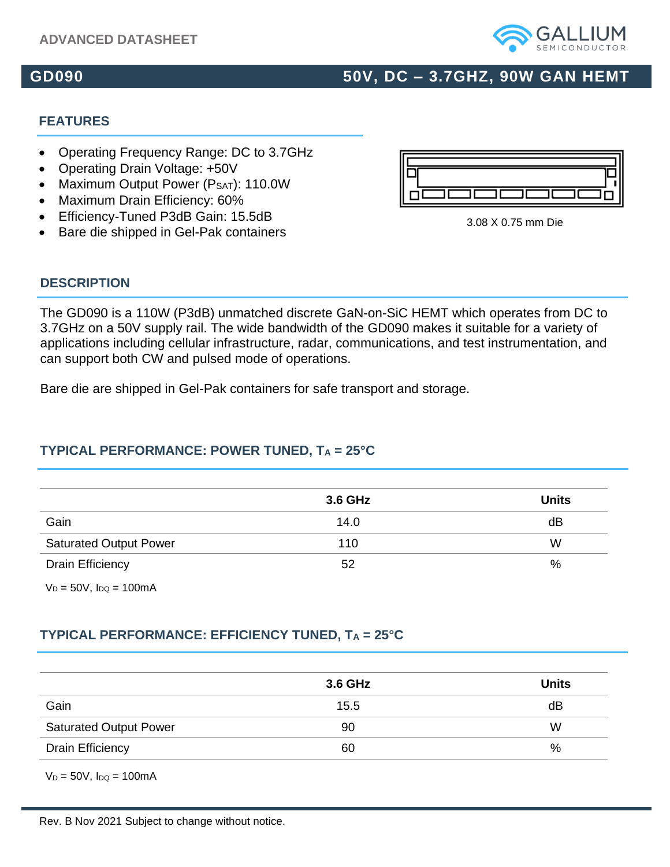#### **ADVANCED DATASHEET**

# **GD090 50V, DC – 3.7GHZ, 90W GAN HEMT**

#### **FEATURES**

**DESCRIPTION**

- Operating Frequency Range: DC to 3.7GHz
- Operating Drain Voltage: +50V
- Maximum Output Power (PSAT): 110.0W
- Maximum Drain Efficiency: 60%
- Efficiency-Tuned P3dB Gain: 15.5dB<br>
and the state of the state of the state of the state of the state of the state of the state of the state of the state of the state of the state of the state of the state of the state o
- Bare die shipped in Gel-Pak containers

### The GD090 is a 110W (P3dB) unmatched discrete GaN-on-SiC HEMT which operates from DC to 3.7GHz on a 50V supply rail. The wide bandwidth of the GD090 makes it suitable for a variety of applications including cellular infrastructure, radar, communications, and test instrumentation, and can support both CW and pulsed mode of operations.

Bare die are shipped in Gel-Pak containers for safe transport and storage.

#### **TYPICAL PERFORMANCE: POWER TUNED, T<sup>A</sup> = 25°C**

|                               | 3.6 GHz | <b>Units</b> |
|-------------------------------|---------|--------------|
| Gain                          | 14.0    | dB           |
| <b>Saturated Output Power</b> | 110     | W            |
| <b>Drain Efficiency</b>       | 52      | %            |

 $V_D = 50V$ ,  $I_{DQ} = 100$ mA

#### **TYPICAL PERFORMANCE: EFFICIENCY TUNED, T<sup>A</sup> = 25°C**

|                               | 3.6 GHz | <b>Units</b> |
|-------------------------------|---------|--------------|
| Gain                          | 15.5    | dB           |
| <b>Saturated Output Power</b> | 90      | W            |
| <b>Drain Efficiency</b>       | 60      | %            |

 $V_D = 50V$ ,  $I_{DQ} = 100$ mA